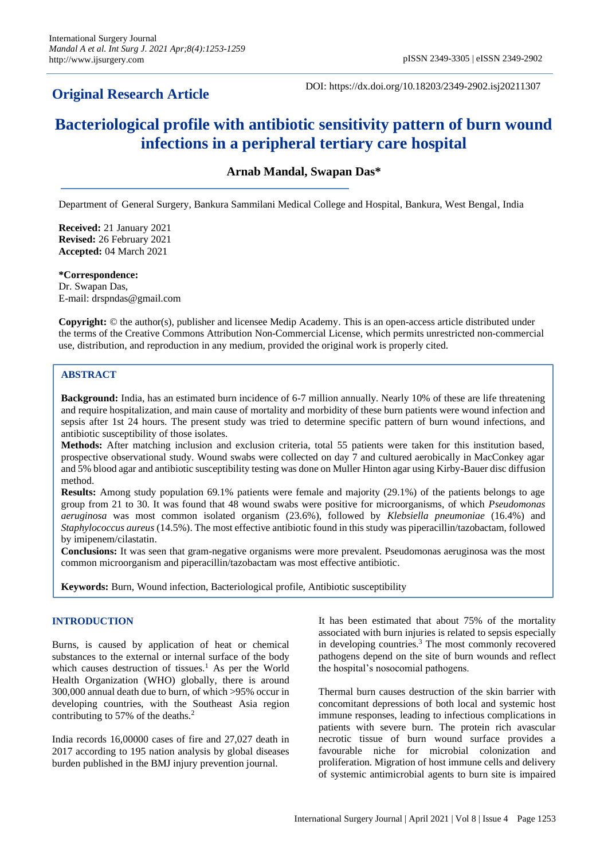## **Original Research Article**

DOI: https://dx.doi.org/10.18203/2349-2902.isj20211307

# **Bacteriological profile with antibiotic sensitivity pattern of burn wound infections in a peripheral tertiary care hospital**

**Arnab Mandal, Swapan Das\***

Department of General Surgery, Bankura Sammilani Medical College and Hospital, Bankura, West Bengal, India

**Received:** 21 January 2021 **Revised:** 26 February 2021 **Accepted:** 04 March 2021

**\*Correspondence:** Dr. Swapan Das, E-mail: drspndas@gmail.com

**Copyright:** © the author(s), publisher and licensee Medip Academy. This is an open-access article distributed under the terms of the Creative Commons Attribution Non-Commercial License, which permits unrestricted non-commercial use, distribution, and reproduction in any medium, provided the original work is properly cited.

## **ABSTRACT**

**Background:** India, has an estimated burn incidence of 6-7 million annually. Nearly 10% of these are life threatening and require hospitalization, and main cause of mortality and morbidity of these burn patients were wound infection and sepsis after 1st 24 hours. The present study was tried to determine specific pattern of burn wound infections, and antibiotic susceptibility of those isolates.

**Methods:** After matching inclusion and exclusion criteria, total 55 patients were taken for this institution based, prospective observational study. Wound swabs were collected on day 7 and cultured aerobically in MacConkey agar and 5% blood agar and antibiotic susceptibility testing was done on Muller Hinton agar using Kirby-Bauer disc diffusion method.

**Results:** Among study population 69.1% patients were female and majority (29.1%) of the patients belongs to age group from 21 to 30. It was found that 48 wound swabs were positive for microorganisms, of which *Pseudomonas aeruginosa* was most common isolated organism (23.6%), followed by *Klebsiella pneumoniae* (16.4%) and *Staphylococcus aureus* (14.5%). The most effective antibiotic found in this study was piperacillin/tazobactam, followed by imipenem/cilastatin.

**Conclusions:** It was seen that gram-negative organisms were more prevalent. Pseudomonas aeruginosa was the most common microorganism and piperacillin/tazobactam was most effective antibiotic.

**Keywords:** Burn, Wound infection, Bacteriological profile, Antibiotic susceptibility

## **INTRODUCTION**

Burns, is caused by application of heat or chemical substances to the external or internal surface of the body which causes destruction of tissues.<sup>1</sup> As per the World Health Organization (WHO) globally, there is around 300,000 annual death due to burn, of which >95% occur in developing countries, with the Southeast Asia region contributing to 57% of the deaths.<sup>2</sup>

India records 16,00000 cases of fire and 27,027 death in 2017 according to 195 nation analysis by global diseases burden published in the BMJ injury prevention journal.

It has been estimated that about 75% of the mortality associated with burn injuries is related to sepsis especially in developing countries.<sup>3</sup> The most commonly recovered pathogens depend on the site of burn wounds and reflect the hospital's nosocomial pathogens.

Thermal burn causes destruction of the skin barrier with concomitant depressions of both local and systemic host immune responses, leading to infectious complications in patients with severe burn. The protein rich avascular necrotic tissue of burn wound surface provides a favourable niche for microbial colonization and proliferation. Migration of host immune cells and delivery of systemic antimicrobial agents to burn site is impaired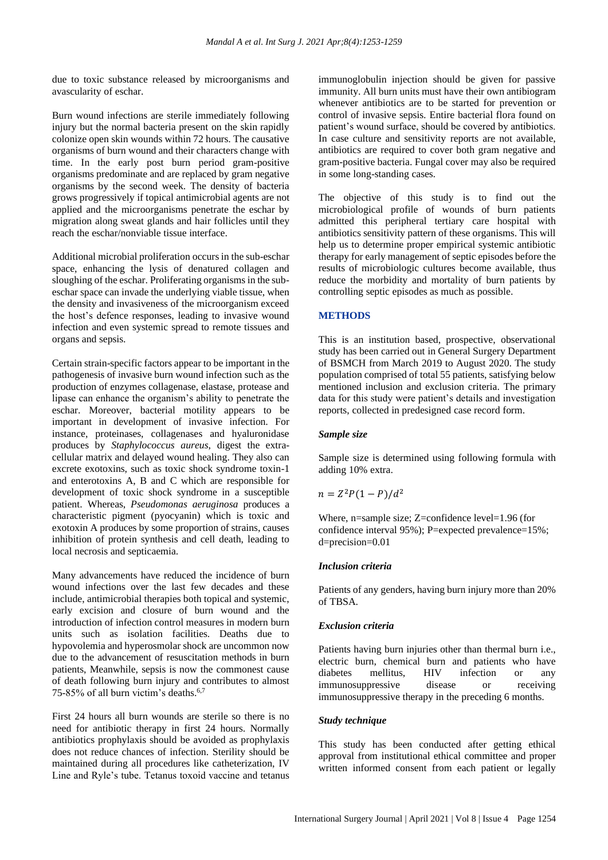due to toxic substance released by microorganisms and avascularity of eschar.

Burn wound infections are sterile immediately following injury but the normal bacteria present on the skin rapidly colonize open skin wounds within 72 hours. The causative organisms of burn wound and their characters change with time. In the early post burn period gram-positive organisms predominate and are replaced by gram negative organisms by the second week. The density of bacteria grows progressively if topical antimicrobial agents are not applied and the microorganisms penetrate the eschar by migration along sweat glands and hair follicles until they reach the eschar/nonviable tissue interface.

Additional microbial proliferation occurs in the sub-eschar space, enhancing the lysis of denatured collagen and sloughing of the eschar. Proliferating organisms in the subeschar space can invade the underlying viable tissue, when the density and invasiveness of the microorganism exceed the host's defence responses, leading to invasive wound infection and even systemic spread to remote tissues and organs and sepsis.

Certain strain-specific factors appear to be important in the pathogenesis of invasive burn wound infection such as the production of enzymes collagenase, elastase, protease and lipase can enhance the organism's ability to penetrate the eschar. Moreover, bacterial motility appears to be important in development of invasive infection. For instance, proteinases, collagenases and hyaluronidase produces by *Staphylococcus aureus*, digest the extracellular matrix and delayed wound healing. They also can excrete exotoxins, such as toxic shock syndrome toxin-1 and enterotoxins A, B and C which are responsible for development of toxic shock syndrome in a susceptible patient. Whereas, *Pseudomonas aeruginosa* produces a characteristic pigment (pyocyanin) which is toxic and exotoxin A produces by some proportion of strains, causes inhibition of protein synthesis and cell death, leading to local necrosis and septicaemia.

Many advancements have reduced the incidence of burn wound infections over the last few decades and these include, antimicrobial therapies both topical and systemic, early excision and closure of burn wound and the introduction of infection control measures in modern burn units such as isolation facilities. Deaths due to hypovolemia and hyperosmolar shock are uncommon now due to the advancement of resuscitation methods in burn patients, Meanwhile, sepsis is now the commonest cause of death following burn injury and contributes to almost 75-85% of all burn victim's deaths.6,7

First 24 hours all burn wounds are sterile so there is no need for antibiotic therapy in first 24 hours. Normally antibiotics prophylaxis should be avoided as prophylaxis does not reduce chances of infection. Sterility should be maintained during all procedures like catheterization, IV Line and Ryle's tube. Tetanus toxoid vaccine and tetanus immunoglobulin injection should be given for passive immunity. All burn units must have their own antibiogram whenever antibiotics are to be started for prevention or control of invasive sepsis. Entire bacterial flora found on patient's wound surface, should be covered by antibiotics. In case culture and sensitivity reports are not available, antibiotics are required to cover both gram negative and gram-positive bacteria. Fungal cover may also be required in some long-standing cases.

The objective of this study is to find out the microbiological profile of wounds of burn patients admitted this peripheral tertiary care hospital with antibiotics sensitivity pattern of these organisms. This will help us to determine proper empirical systemic antibiotic therapy for early management of septic episodes before the results of microbiologic cultures become available, thus reduce the morbidity and mortality of burn patients by controlling septic episodes as much as possible.

## **METHODS**

This is an institution based, prospective, observational study has been carried out in General Surgery Department of BSMCH from March 2019 to August 2020. The study population comprised of total 55 patients, satisfying below mentioned inclusion and exclusion criteria. The primary data for this study were patient's details and investigation reports, collected in predesigned case record form.

#### *Sample size*

Sample size is determined using following formula with adding 10% extra.

$$
n = Z^2 P (1 - P)/d^2
$$

Where, n=sample size; Z=confidence level=1.96 (for confidence interval 95%); P=expected prevalence=15%; d=precision=0.01

## *Inclusion criteria*

Patients of any genders, having burn injury more than 20% of TBSA.

## *Exclusion criteria*

Patients having burn injuries other than thermal burn i.e., electric burn, chemical burn and patients who have diabetes mellitus, HIV infection or any immunosuppressive disease or receiving immunosuppressive therapy in the preceding 6 months.

#### *Study technique*

This study has been conducted after getting ethical approval from institutional ethical committee and proper written informed consent from each patient or legally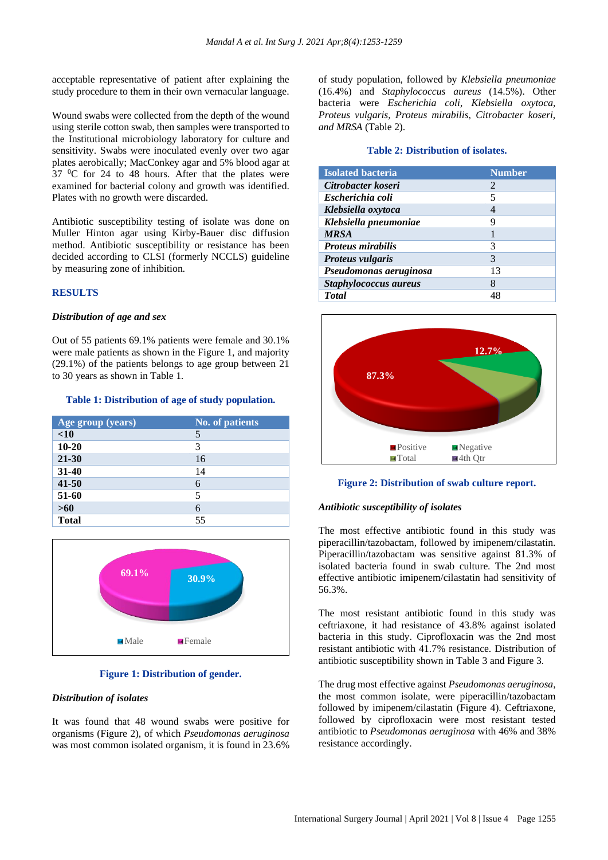acceptable representative of patient after explaining the study procedure to them in their own vernacular language.

Wound swabs were collected from the depth of the wound using sterile cotton swab, then samples were transported to the Institutional microbiology laboratory for culture and sensitivity. Swabs were inoculated evenly over two agar plates aerobically; MacConkey agar and 5% blood agar at  $37 \text{ °C}$  for 24 to 48 hours. After that the plates were examined for bacterial colony and growth was identified. Plates with no growth were discarded.

Antibiotic susceptibility testing of isolate was done on Muller Hinton agar using Kirby-Bauer disc diffusion method. Antibiotic susceptibility or resistance has been decided according to CLSI (formerly NCCLS) guideline by measuring zone of inhibition.

## **RESULTS**

#### *Distribution of age and sex*

Out of 55 patients 69.1% patients were female and 30.1% were male patients as shown in the Figure 1, and majority (29.1%) of the patients belongs to age group between 21 to 30 years as shown in Table 1.

#### **Table 1: Distribution of age of study population.**

| Age group (years) | <b>No. of patients</b> |
|-------------------|------------------------|
| < 10              | 5                      |
| $10 - 20$         | 3                      |
| 21-30             | 16                     |
| $31 - 40$         | 14                     |
| $41 - 50$         | 6                      |
| 51-60             | 5                      |
| $>60$             | 6                      |
| <b>Total</b>      | 55                     |



#### **Figure 1: Distribution of gender.**

#### *Distribution of isolates*

It was found that 48 wound swabs were positive for organisms (Figure 2), of which *Pseudomonas aeruginosa* was most common isolated organism, it is found in 23.6%

of study population, followed by *Klebsiella pneumoniae* (16.4%) and *Staphylococcus aureus* (14.5%). Other bacteria were *Escherichia coli, Klebsiella oxytoca, Proteus vulgaris, Proteus mirabilis, Citrobacter koseri, and MRSA* (Table 2).

#### **Table 2: Distribution of isolates.**

| <b>Isolated bacteria</b> | <b>Number</b>               |
|--------------------------|-----------------------------|
| Citrobacter koseri       | $\mathcal{D}_{\mathcal{L}}$ |
| Escherichia coli         | 5                           |
| Klebsiella oxytoca       | 4                           |
| Klebsiella pneumoniae    | 9                           |
| <b>MRSA</b>              |                             |
| <b>Proteus mirabilis</b> | 3                           |
| <b>Proteus vulgaris</b>  | 3                           |
| Pseudomonas aeruginosa   | 13                          |
| Staphylococcus aureus    | 8                           |
| <b>Total</b>             | 48                          |



**Figure 2: Distribution of swab culture report.**

#### *Antibiotic susceptibility of isolates*

The most effective antibiotic found in this study was piperacillin/tazobactam, followed by imipenem/cilastatin. Piperacillin/tazobactam was sensitive against 81.3% of isolated bacteria found in swab culture. The 2nd most effective antibiotic imipenem/cilastatin had sensitivity of 56.3%.

The most resistant antibiotic found in this study was ceftriaxone, it had resistance of 43.8% against isolated bacteria in this study. Ciprofloxacin was the 2nd most resistant antibiotic with 41.7% resistance. Distribution of antibiotic susceptibility shown in Table 3 and Figure 3.

The drug most effective against *Pseudomonas aeruginosa*, the most common isolate, were piperacillin/tazobactam followed by imipenem/cilastatin (Figure 4). Ceftriaxone, followed by ciprofloxacin were most resistant tested antibiotic to *Pseudomonas aeruginosa* with 46% and 38% resistance accordingly.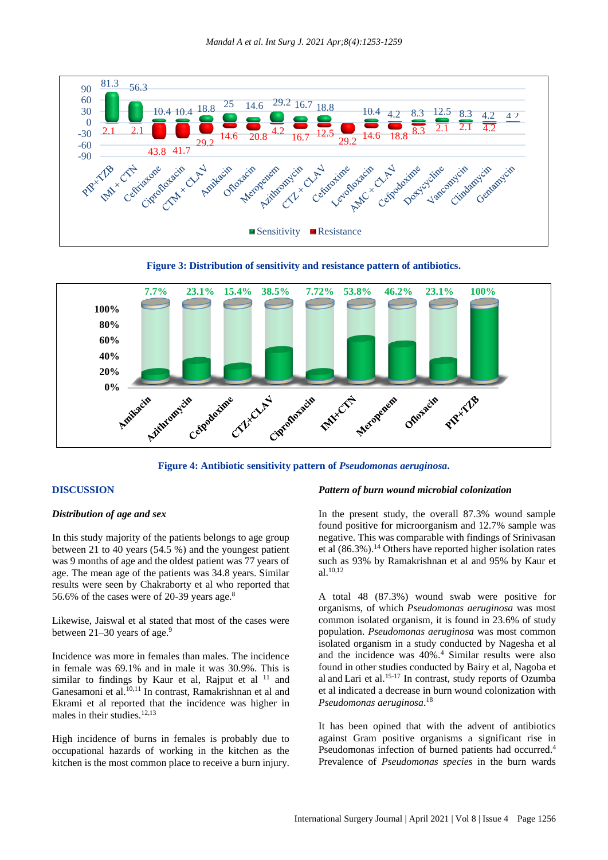

**Figure 3: Distribution of sensitivity and resistance pattern of antibiotics.**



**Figure 4: Antibiotic sensitivity pattern of** *Pseudomonas aeruginosa***.**

#### **DISCUSSION**

#### *Distribution of age and sex*

In this study majority of the patients belongs to age group between 21 to 40 years (54.5 %) and the youngest patient was 9 months of age and the oldest patient was 77 years of age. The mean age of the patients was 34.8 years. Similar results were seen by Chakraborty et al who reported that 56.6% of the cases were of 20-39 years age.<sup>8</sup>

Likewise, Jaiswal et al stated that most of the cases were between  $21-30$  years of age.<sup>9</sup>

Incidence was more in females than males. The incidence in female was 69.1% and in male it was 30.9%. This is similar to findings by Kaur et al, Rajput et al  $11$  and Ganesamoni et al. 10,11 In contrast, Ramakrishnan et al and Ekrami et al reported that the incidence was higher in males in their studies.<sup>12,13</sup>

High incidence of burns in females is probably due to occupational hazards of working in the kitchen as the kitchen is the most common place to receive a burn injury.

#### *Pattern of burn wound microbial colonization*

In the present study, the overall 87.3% wound sample found positive for microorganism and 12.7% sample was negative. This was comparable with findings of Srinivasan et al  $(86.3\%)$ .<sup>14</sup> Others have reported higher isolation rates such as 93% by Ramakrishnan et al and 95% by Kaur et al.10,12

A total 48 (87.3%) wound swab were positive for organisms, of which *Pseudomonas aeruginosa* was most common isolated organism, it is found in 23.6% of study population. *Pseudomonas aeruginosa* was most common isolated organism in a study conducted by Nagesha et al and the incidence was 40%.<sup>4</sup> Similar results were also found in other studies conducted by Bairy et al, Nagoba et al and Lari et al. 15-17 In contrast, study reports of Ozumba et al indicated a decrease in burn wound colonization with *Pseudomonas aeruginosa*. 18

It has been opined that with the advent of antibiotics against Gram positive organisms a significant rise in Pseudomonas infection of burned patients had occurred.<sup>4</sup> Prevalence of *Pseudomonas species* in the burn wards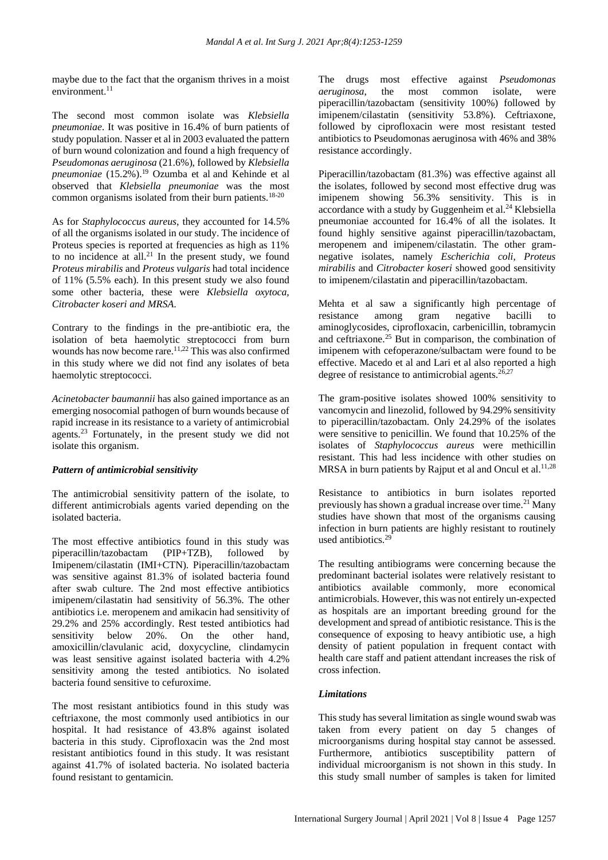maybe due to the fact that the organism thrives in a moist environment.<sup>11</sup>

The second most common isolate was *Klebsiella pneumoniae*. It was positive in 16.4% of burn patients of study population. Nasser et al in 2003 evaluated the pattern of burn wound colonization and found a high frequency of *Pseudomonas aeruginosa* (21.6%), followed by *Klebsiella pneumoniae* (15.2%).<sup>19</sup> Ozumba et al and Kehinde et al observed that *Klebsiella pneumoniae* was the most common organisms isolated from their burn patients.<sup>18-20</sup>

As for *Staphylococcus aureus*, they accounted for 14.5% of all the organisms isolated in our study. The incidence of Proteus species is reported at frequencies as high as 11% to no incidence at all.<sup>21</sup> In the present study, we found *Proteus mirabilis* and *Proteus vulgaris* had total incidence of 11% (5.5% each). In this present study we also found some other bacteria, these were *Klebsiella oxytoca, Citrobacter koseri and MRSA*.

Contrary to the findings in the pre-antibiotic era, the isolation of beta haemolytic streptococci from burn wounds has now become rare.<sup>11,22</sup> This was also confirmed in this study where we did not find any isolates of beta haemolytic streptococci.

*Acinetobacter baumannii* has also gained importance as an emerging nosocomial pathogen of burn wounds because of rapid increase in its resistance to a variety of antimicrobial agents.<sup>23</sup> Fortunately, in the present study we did not isolate this organism.

## *Pattern of antimicrobial sensitivity*

The antimicrobial sensitivity pattern of the isolate, to different antimicrobials agents varied depending on the isolated bacteria.

The most effective antibiotics found in this study was piperacillin/tazobactam (PIP+TZB), followed by Imipenem/cilastatin (IMI+CTN). Piperacillin/tazobactam was sensitive against 81.3% of isolated bacteria found after swab culture. The 2nd most effective antibiotics imipenem/cilastatin had sensitivity of 56.3%. The other antibiotics i.e. meropenem and amikacin had sensitivity of 29.2% and 25% accordingly. Rest tested antibiotics had sensitivity below 20%. On the other hand, amoxicillin/clavulanic acid, doxycycline, clindamycin was least sensitive against isolated bacteria with 4.2% sensitivity among the tested antibiotics. No isolated bacteria found sensitive to cefuroxime.

The most resistant antibiotics found in this study was ceftriaxone, the most commonly used antibiotics in our hospital. It had resistance of 43.8% against isolated bacteria in this study. Ciprofloxacin was the 2nd most resistant antibiotics found in this study. It was resistant against 41.7% of isolated bacteria. No isolated bacteria found resistant to gentamicin.

The drugs most effective against *Pseudomonas aeruginosa*, the most common isolate, were piperacillin/tazobactam (sensitivity 100%) followed by imipenem/cilastatin (sensitivity 53.8%). Ceftriaxone, followed by ciprofloxacin were most resistant tested antibiotics to Pseudomonas aeruginosa with 46% and 38% resistance accordingly.

Piperacillin/tazobactam (81.3%) was effective against all the isolates, followed by second most effective drug was imipenem showing 56.3% sensitivity. This is in accordance with a study by Guggenheim et al.<sup>24</sup> Klebsiella pneumoniae accounted for 16.4% of all the isolates. It found highly sensitive against piperacillin/tazobactam, meropenem and imipenem/cilastatin. The other gramnegative isolates, namely *Escherichia coli, Proteus mirabilis* and *Citrobacter koseri* showed good sensitivity to imipenem/cilastatin and piperacillin/tazobactam.

Mehta et al saw a significantly high percentage of resistance among gram negative bacilli to aminoglycosides, ciprofloxacin, carbenicillin, tobramycin and ceftriaxone.<sup>25</sup> But in comparison, the combination of imipenem with cefoperazone/sulbactam were found to be effective. Macedo et al and Lari et al also reported a high degree of resistance to antimicrobial agents. $26,27$ 

The gram-positive isolates showed 100% sensitivity to vancomycin and linezolid, followed by 94.29% sensitivity to piperacillin/tazobactam. Only 24.29% of the isolates were sensitive to penicillin. We found that 10.25% of the isolates of *Staphylococcus aureus* were methicillin resistant. This had less incidence with other studies on MRSA in burn patients by Rajput et al and Oncul et al.<sup>11,28</sup>

Resistance to antibiotics in burn isolates reported previously has shown a gradual increase over time.<sup>21</sup> Many studies have shown that most of the organisms causing infection in burn patients are highly resistant to routinely used antibiotics.<sup>29</sup>

The resulting antibiograms were concerning because the predominant bacterial isolates were relatively resistant to antibiotics available commonly, more economical antimicrobials. However, this was not entirely un-expected as hospitals are an important breeding ground for the development and spread of antibiotic resistance. This is the consequence of exposing to heavy antibiotic use, a high density of patient population in frequent contact with health care staff and patient attendant increases the risk of cross infection.

## *Limitations*

This study has several limitation as single wound swab was taken from every patient on day 5 changes of microorganisms during hospital stay cannot be assessed. Furthermore, antibiotics susceptibility pattern of individual microorganism is not shown in this study. In this study small number of samples is taken for limited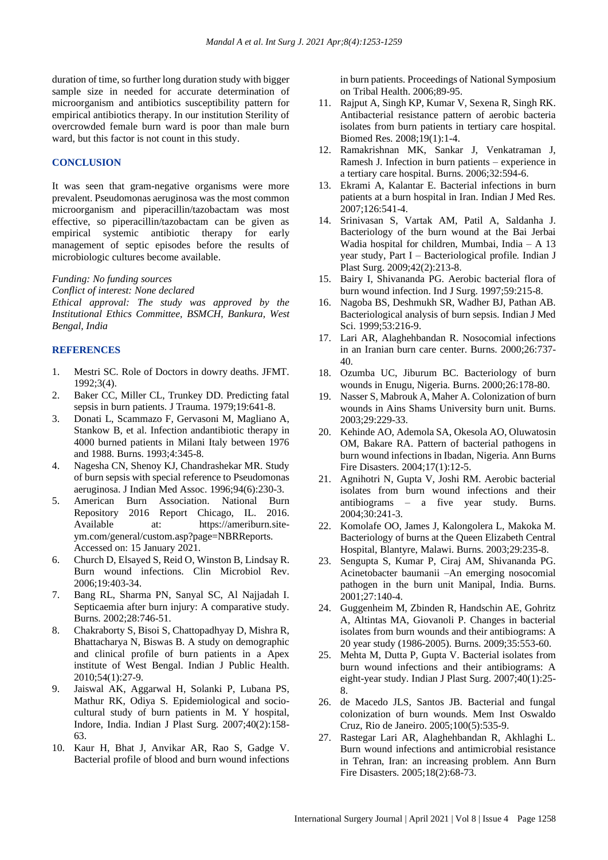duration of time, so further long duration study with bigger sample size in needed for accurate determination of microorganism and antibiotics susceptibility pattern for empirical antibiotics therapy. In our institution Sterility of overcrowded female burn ward is poor than male burn ward, but this factor is not count in this study.

#### **CONCLUSION**

It was seen that gram-negative organisms were more prevalent. Pseudomonas aeruginosa was the most common microorganism and piperacillin/tazobactam was most effective, so piperacillin/tazobactam can be given as empirical systemic antibiotic therapy for early management of septic episodes before the results of microbiologic cultures become available.

#### *Funding: No funding sources*

*Conflict of interest: None declared*

*Ethical approval: The study was approved by the Institutional Ethics Committee, BSMCH, Bankura, West Bengal, India*

#### **REFERENCES**

- 1. Mestri SC. Role of Doctors in dowry deaths. JFMT. 1992;3(4).
- 2. Baker CC, Miller CL, Trunkey DD. Predicting fatal sepsis in burn patients. J Trauma. 1979;19:641-8.
- 3. Donati L, Scammazo F, Gervasoni M, Magliano A, Stankow B, et al. Infection andantibiotic therapy in 4000 burned patients in Milani Italy between 1976 and 1988. Burns. 1993;4:345-8.
- 4. Nagesha CN, Shenoy KJ, Chandrashekar MR. Study of burn sepsis with special reference to Pseudomonas aeruginosa. J Indian Med Assoc. 1996;94(6):230-3.
- 5. American Burn Association. National Burn Repository 2016 Report Chicago, IL. 2016. Available at: https://ameriburn.siteym.com/general/custom.asp?page=NBRReports. Accessed on: 15 January 2021.
- 6. Church D, Elsayed S, Reid O, Winston B, Lindsay R. Burn wound infections. Clin Microbiol Rev. 2006;19:403-34.
- 7. Bang RL, Sharma PN, Sanyal SC, Al Najjadah I. Septicaemia after burn injury: A comparative study. Burns. 2002;28:746-51.
- 8. Chakraborty S, Bisoi S, Chattopadhyay D, Mishra R, Bhattacharya N, Biswas B. A study on demographic and clinical profile of burn patients in a Apex institute of West Bengal. Indian J Public Health. 2010;54(1):27-9.
- 9. Jaiswal AK, Aggarwal H, Solanki P, Lubana PS, Mathur RK, Odiya S. Epidemiological and sociocultural study of burn patients in M. Y hospital, Indore, India. Indian J Plast Surg. 2007;40(2):158- 63.
- 10. Kaur H, Bhat J, Anvikar AR, Rao S, Gadge V. Bacterial profile of blood and burn wound infections

in burn patients. Proceedings of National Symposium on Tribal Health. 2006;89-95.

- 11. Rajput A, Singh KP, Kumar V, Sexena R, Singh RK. Antibacterial resistance pattern of aerobic bacteria isolates from burn patients in tertiary care hospital. Biomed Res. 2008;19(1):1-4.
- 12. Ramakrishnan MK, Sankar J, Venkatraman J, Ramesh J. Infection in burn patients – experience in a tertiary care hospital. Burns. 2006;32:594-6.
- 13. Ekrami A, Kalantar E. Bacterial infections in burn patients at a burn hospital in Iran. Indian J Med Res. 2007;126:541-4.
- 14. Srinivasan S, Vartak AM, Patil A, Saldanha J. Bacteriology of the burn wound at the Bai Jerbai Wadia hospital for children, Mumbai, India – A 13 year study, Part I – Bacteriological profile. Indian J Plast Surg. 2009;42(2):213-8.
- 15. Bairy I, Shivananda PG. Aerobic bacterial flora of burn wound infection. Ind J Surg. 1997;59:215-8.
- 16. Nagoba BS, Deshmukh SR, Wadher BJ, Pathan AB. Bacteriological analysis of burn sepsis. Indian J Med Sci. 1999;53:216-9.
- 17. Lari AR, Alaghehbandan R. Nosocomial infections in an Iranian burn care center. Burns. 2000;26:737- 40.
- 18. Ozumba UC, Jiburum BC. Bacteriology of burn wounds in Enugu, Nigeria. Burns. 2000;26:178-80.
- 19. Nasser S, Mabrouk A, Maher A. Colonization of burn wounds in Ains Shams University burn unit. Burns. 2003;29:229-33.
- 20. Kehinde AO, Ademola SA, Okesola AO, Oluwatosin OM, Bakare RA. Pattern of bacterial pathogens in burn wound infections in Ibadan, Nigeria. Ann Burns Fire Disasters. 2004;17(1):12-5.
- 21. Agnihotri N, Gupta V, Joshi RM. Aerobic bacterial isolates from burn wound infections and their antibiograms – a five year study. Burns. 2004;30:241-3.
- 22. Komolafe OO, James J, Kalongolera L, Makoka M. Bacteriology of burns at the Queen Elizabeth Central Hospital, Blantyre, Malawi. Burns. 2003;29:235-8.
- 23. Sengupta S, Kumar P, Ciraj AM, Shivananda PG. Acinetobacter baumanii –An emerging nosocomial pathogen in the burn unit Manipal, India. Burns. 2001;27:140-4.
- 24. Guggenheim M, Zbinden R, Handschin AE, Gohritz A, Altintas MA, Giovanoli P. Changes in bacterial isolates from burn wounds and their antibiograms: A 20 year study (1986-2005). Burns. 2009;35:553-60.
- 25. Mehta M, Dutta P, Gupta V. Bacterial isolates from burn wound infections and their antibiograms: A eight-year study. Indian J Plast Surg. 2007;40(1):25- 8.
- 26. de Macedo JLS, Santos JB. Bacterial and fungal colonization of burn wounds. Mem Inst Oswaldo Cruz, Rio de Janeiro. 2005;100(5):535-9.
- 27. Rastegar Lari AR, Alaghehbandan R, Akhlaghi L. Burn wound infections and antimicrobial resistance in Tehran, Iran: an increasing problem. Ann Burn Fire Disasters. 2005;18(2):68-73.